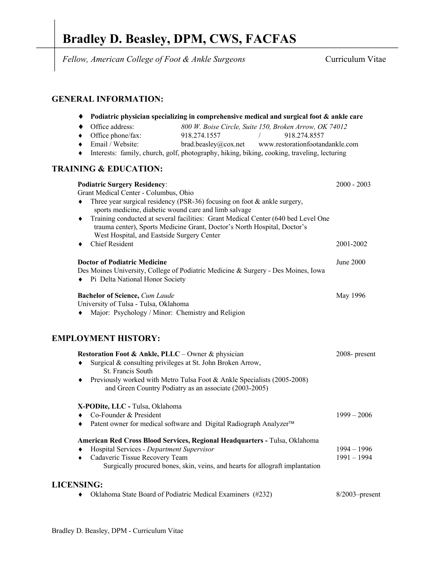# **Bradley D. Beasley, DPM, CWS, FACFAS**

*Fellow, American College of Foot & Ankle Surgeons*Curriculum Vitae

## **GENERAL INFORMATION:**

| Podiatric physician specializing in comprehensive medical and surgical foot & ankle care                                                                                                                          |                                                        |
|-------------------------------------------------------------------------------------------------------------------------------------------------------------------------------------------------------------------|--------------------------------------------------------|
| Office address:                                                                                                                                                                                                   | 800 W. Boise Circle, Suite 150, Broken Arrow, OK 74012 |
| Office phone/fax:<br>918.274.1557                                                                                                                                                                                 | 918.274.8557                                           |
| Email / Website:<br>brad.beasley@cov.net                                                                                                                                                                          | www.restorationfootandankle.com                        |
| Interests: family, church, golf, photography, hiking, biking, cooking, traveling, lecturing<br>٠                                                                                                                  |                                                        |
| <b>TRAINING &amp; EDUCATION:</b>                                                                                                                                                                                  |                                                        |
| <b>Podiatric Surgery Residency:</b><br>Grant Medical Center - Columbus, Ohio<br>Three year surgical residency (PSR-36) focusing on foot & ankle surgery,<br>sports medicine, diabetic wound care and limb salvage | $2000 - 2003$                                          |
| Training conducted at several facilities: Grant Medical Center (640 bed Level One<br>٠<br>trauma center), Sports Medicine Grant, Doctor's North Hospital, Doctor's<br>West Hospital, and Eastside Surgery Center  |                                                        |
| <b>Chief Resident</b>                                                                                                                                                                                             | 2001-2002                                              |
| <b>Doctor of Podiatric Medicine</b><br>Des Moines University, College of Podiatric Medicine & Surgery - Des Moines, Iowa<br>Pi Delta National Honor Society                                                       | <b>June 2000</b>                                       |
| <b>Bachelor of Science, Cum Laude</b><br>University of Tulsa - Tulsa, Oklahoma                                                                                                                                    | May 1996                                               |
| Major: Psychology / Minor: Chemistry and Religion                                                                                                                                                                 |                                                        |
| <b>EMPLOYMENT HISTORY:</b>                                                                                                                                                                                        |                                                        |
| Restoration Foot & Ankle, PLLC – Owner & physician                                                                                                                                                                | 2008- present                                          |
| Surgical & consulting privileges at St. John Broken Arrow,<br>St. Francis South                                                                                                                                   |                                                        |
| Previously worked with Metro Tulsa Foot & Ankle Specialists (2005-2008)<br>٠<br>and Green Country Podiatry as an associate (2003-2005)                                                                            |                                                        |
| $\mathbf{r}$ $\mathbf{r}$ $\alpha$ $\mathbf{r}$ $\mathbf{r}$ $\mathbf{r}$<br>$-111$                                                                                                                               |                                                        |

#### **X-PODite, LLC -** Tulsa, Oklahoma

| Co-Founder & President                                                            | $1999 - 2006$ |
|-----------------------------------------------------------------------------------|---------------|
| Patent owner for medical software and Digital Radiograph Analyzer™<br>$\bullet$   |               |
| <b>American Red Cross Blood Services, Regional Headquarters - Tulsa, Oklahoma</b> |               |
| Hospital Services - Department Supervisor<br>۰                                    | 1994 – 1996   |
| Cadaveric Tissue Recovery Team<br>$\bullet$                                       | $1991 - 1994$ |
| Surgically procured bones, skin, veins, and hearts for allograft implantation     |               |
| LICENSING:                                                                        |               |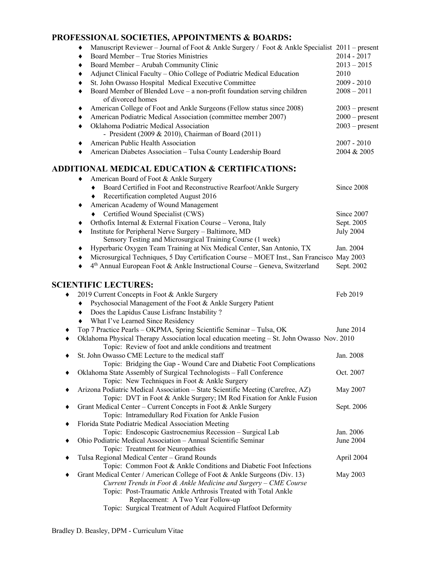# **PROFESSIONAL SOCIETIES, APPOINTMENTS & BOARDS:**

|                             | I ROFESSIONILE SOCIETIES, IN I OINTIMENTS <b>&amp;</b> DOIRDS                                       |                  |
|-----------------------------|-----------------------------------------------------------------------------------------------------|------------------|
|                             | Manuscript Reviewer – Journal of Foot & Ankle Surgery / Foot & Ankle Specialist 2011 – present      |                  |
| ٠                           | Board Member - True Stories Ministries                                                              | 2014 - 2017      |
| ٠                           | Board Member - Arubah Community Clinic                                                              | $2013 - 2015$    |
| ٠                           | Adjunct Clinical Faculty - Ohio College of Podiatric Medical Education                              | 2010             |
|                             | St. John Owasso Hospital Medical Executive Committee                                                | $2009 - 2010$    |
| ٠                           | Board Member of Blended Love - a non-profit foundation serving children                             | $2008 - 2011$    |
|                             | of divorced homes                                                                                   |                  |
|                             | American College of Foot and Ankle Surgeons (Fellow status since 2008)                              | $2003$ – present |
| ٠                           | American Podiatric Medical Association (committee member 2007)                                      | $2000$ – present |
| ٠                           | Oklahoma Podiatric Medical Association                                                              | $2003$ – present |
|                             | - President (2009 & 2010), Chairman of Board (2011)                                                 |                  |
|                             | American Public Health Association                                                                  | $2007 - 2010$    |
| ٠                           | American Diabetes Association - Tulsa County Leadership Board                                       | 2004 & 2005      |
|                             | <b>ADDITIONAL MEDICAL EDUCATION &amp; CERTIFICATIONS:</b>                                           |                  |
|                             | American Board of Foot & Ankle Surgery                                                              |                  |
| ٠                           | Board Certified in Foot and Reconstructive Rearfoot/Ankle Surgery                                   | Since 2008       |
| ٠                           | Recertification completed August 2016                                                               |                  |
| ٠                           | American Academy of Wound Management                                                                |                  |
|                             | Certified Wound Specialist (CWS)                                                                    | Since 2007       |
|                             | Orthofix Internal & External Fixation Course - Verona, Italy                                        | Sept. 2005       |
| ٠                           | Institute for Peripheral Nerve Surgery - Baltimore, MD                                              | <b>July 2004</b> |
|                             | Sensory Testing and Microsurgical Training Course (1 week)                                          |                  |
|                             | Hyperbaric Oxygen Team Training at Nix Medical Center, San Antonio, TX                              | Jan. 2004        |
| ٠                           | Microsurgical Techniques, 5 Day Certification Course - MOET Inst., San Francisco May 2003           |                  |
| ٠                           | 4 <sup>th</sup> Annual European Foot & Ankle Instructional Course - Geneva, Switzerland             | Sept. 2002       |
|                             |                                                                                                     |                  |
| <b>SCIENTIFIC LECTURES:</b> |                                                                                                     |                  |
|                             | 2019 Current Concepts in Foot & Ankle Surgery                                                       | Feb 2019         |
| ٠                           | Psychosocial Management of the Foot & Ankle Surgery Patient                                         |                  |
| ٠                           | Does the Lapidus Cause Lisfranc Instability?                                                        |                  |
| ٠                           | What I've Learned Since Residency                                                                   |                  |
|                             | Top 7 Practice Pearls - OKPMA, Spring Scientific Seminar - Tulsa, OK                                | June 2014        |
|                             | Oklahoma Physical Therapy Association local education meeting - St. John Owasso Nov. 2010           |                  |
|                             | Topic: Review of foot and ankle conditions and treatment                                            |                  |
|                             | St. John Owasso CME Lecture to the medical staff                                                    | Jan. 2008        |
|                             | Topic: Bridging the Gap - Wound Care and Diabetic Foot Complications                                |                  |
|                             | Oklahoma State Assembly of Surgical Technologists - Fall Conference                                 | Oct. 2007        |
|                             | Topic: New Techniques in Foot & Ankle Surgery                                                       |                  |
|                             | Arizona Podiatric Medical Association - State Scientific Meeting (Carefree, AZ)                     | May 2007         |
|                             | Topic: DVT in Foot & Ankle Surgery; IM Rod Fixation for Ankle Fusion                                |                  |
|                             | Grant Medical Center - Current Concepts in Foot & Ankle Surgery                                     | Sept. 2006       |
|                             | Topic: Intramedullary Rod Fixation for Ankle Fusion                                                 |                  |
|                             | Florida State Podiatric Medical Association Meeting                                                 |                  |
|                             | Topic: Endoscopic Gastrocnemius Recession - Surgical Lab                                            | Jan. 2006        |
|                             | Ohio Podiatric Medical Association - Annual Scientific Seminar<br>Topic: Treatment for Neuropathies | June 2004        |
|                             | Tulsa Regional Medical Center - Grand Rounds                                                        | April 2004       |
|                             | Topic: Common Foot & Ankle Conditions and Diabetic Foot Infections                                  |                  |
|                             | Grant Medical Center / American College of Foot & Ankle Surgeons (Div. 13)                          | May 2003         |
|                             | Current Trends in Foot & Ankle Medicine and Surgery - CME Course                                    |                  |
|                             | Topic: Post-Traumatic Ankle Arthrosis Treated with Total Ankle                                      |                  |
|                             | Replacement: A Two Year Follow-up                                                                   |                  |
|                             | Topic: Surgical Treatment of Adult Acquired Flatfoot Deformity                                      |                  |
|                             |                                                                                                     |                  |